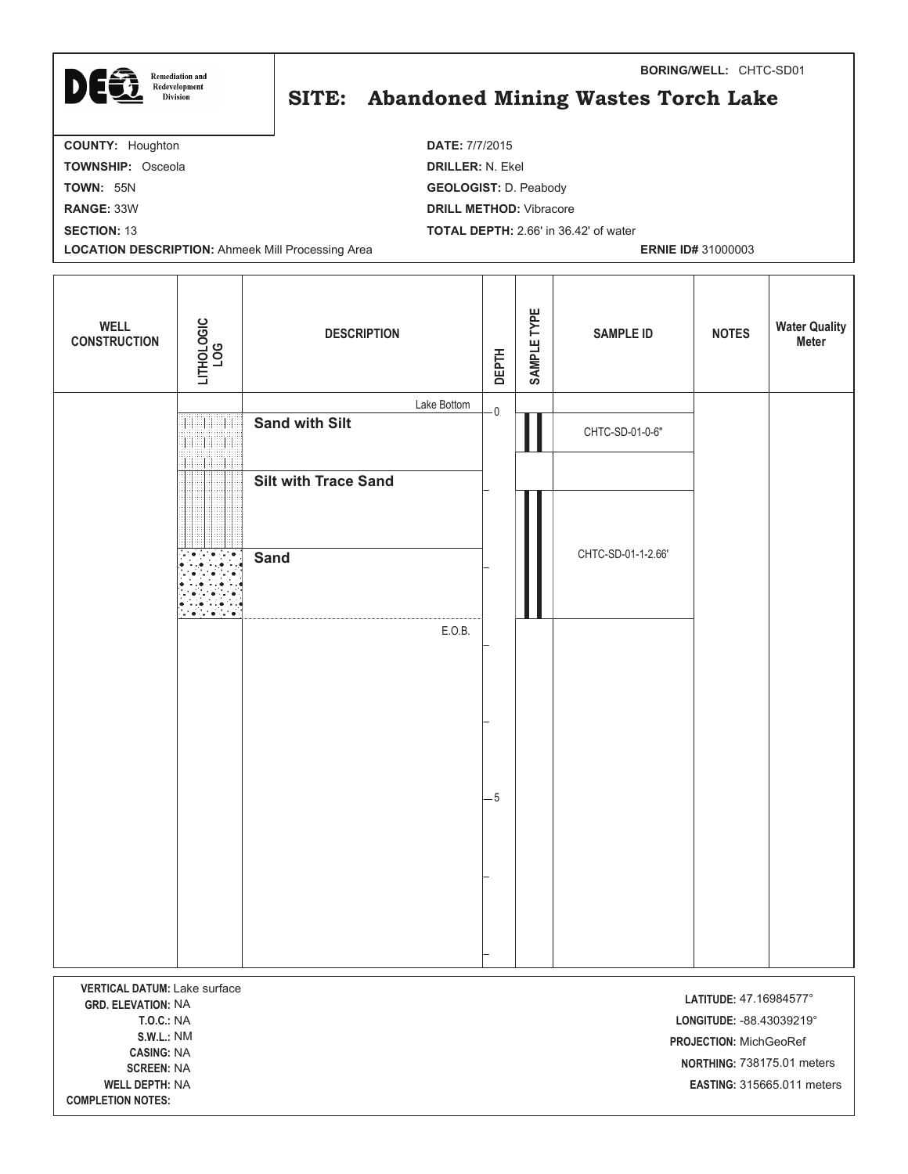| <b>Remediation and</b>                                   | <b>BORING/WELL: CHTC-SD01</b>                |  |
|----------------------------------------------------------|----------------------------------------------|--|
| <b>LG</b><br>Redevelopment<br><b>Division</b>            | SITE: Abandoned Mining Wastes Torch Lake     |  |
| <b>COUNTY: Houghton</b>                                  | <b>DATE: 7/7/2015</b>                        |  |
| <b>TOWNSHIP: Osceola</b>                                 | <b>DRILLER: N. Ekel</b>                      |  |
| <b>TOWN: 55N</b>                                         | <b>GEOLOGIST: D. Peabody</b>                 |  |
| <b>RANGE: 33W</b>                                        | <b>DRILL METHOD:</b> Vibracore               |  |
| <b>SECTION: 13</b>                                       | <b>TOTAL DEPTH: 2.66' in 36.42' of water</b> |  |
| <b>LOCATION DESCRIPTION: Ahmeek Mill Processing Area</b> | <b>ERNIE ID# 31000003</b>                    |  |

| <b>WELL</b><br><b>CONSTRUCTION</b>                               | LITHOLOGIC<br>LOG   | <b>DESCRIPTION</b>          | <b>DEPTH</b>            | SAMPLE TYPE | <b>SAMPLE ID</b>   | <b>NOTES</b>           | <b>Water Quality</b><br><b>Meter</b> |
|------------------------------------------------------------------|---------------------|-----------------------------|-------------------------|-------------|--------------------|------------------------|--------------------------------------|
|                                                                  |                     | Lake Bottom                 | $\overline{\mathbf{0}}$ |             |                    |                        |                                      |
|                                                                  | <b>THE RE</b><br>11 | <b>Sand with Silt</b>       |                         |             | CHTC-SD-01-0-6"    |                        |                                      |
|                                                                  | Н<br>HEEE           | <b>Silt with Trace Sand</b> |                         |             |                    |                        |                                      |
|                                                                  |                     |                             |                         |             |                    |                        |                                      |
|                                                                  |                     |                             |                         |             |                    |                        |                                      |
|                                                                  |                     | <b>Sand</b>                 |                         |             | CHTC-SD-01-1-2.66' |                        |                                      |
|                                                                  | tra tra             |                             |                         |             |                    |                        |                                      |
|                                                                  |                     | E.O.B.                      |                         |             |                    |                        |                                      |
|                                                                  |                     |                             |                         |             |                    |                        |                                      |
|                                                                  |                     |                             |                         |             |                    |                        |                                      |
|                                                                  |                     |                             |                         |             |                    |                        |                                      |
|                                                                  |                     |                             |                         |             |                    |                        |                                      |
|                                                                  |                     |                             | $-5$                    |             |                    |                        |                                      |
|                                                                  |                     |                             |                         |             |                    |                        |                                      |
|                                                                  |                     |                             |                         |             |                    |                        |                                      |
|                                                                  |                     |                             |                         |             |                    |                        |                                      |
|                                                                  |                     |                             |                         |             |                    |                        |                                      |
|                                                                  |                     |                             |                         |             |                    |                        |                                      |
|                                                                  |                     |                             |                         |             |                    |                        |                                      |
| <b>VERTICAL DATUM: Lake surface</b><br><b>GRD. ELEVATION: NA</b> |                     |                             |                         |             |                    | LATITUDE: 47.16984577° |                                      |

**T.O.C.:** NA **LONGITUD**  NM **-**CASING: NA **EN:** NA **WELL DE PTH:** NA **-**

**COMPLETION NOTES:** 

**-**  -88.43039219° **PROJECTION: MichGeoRef NORTHING: 738175.01 meters EASTING: 315665.011 meters**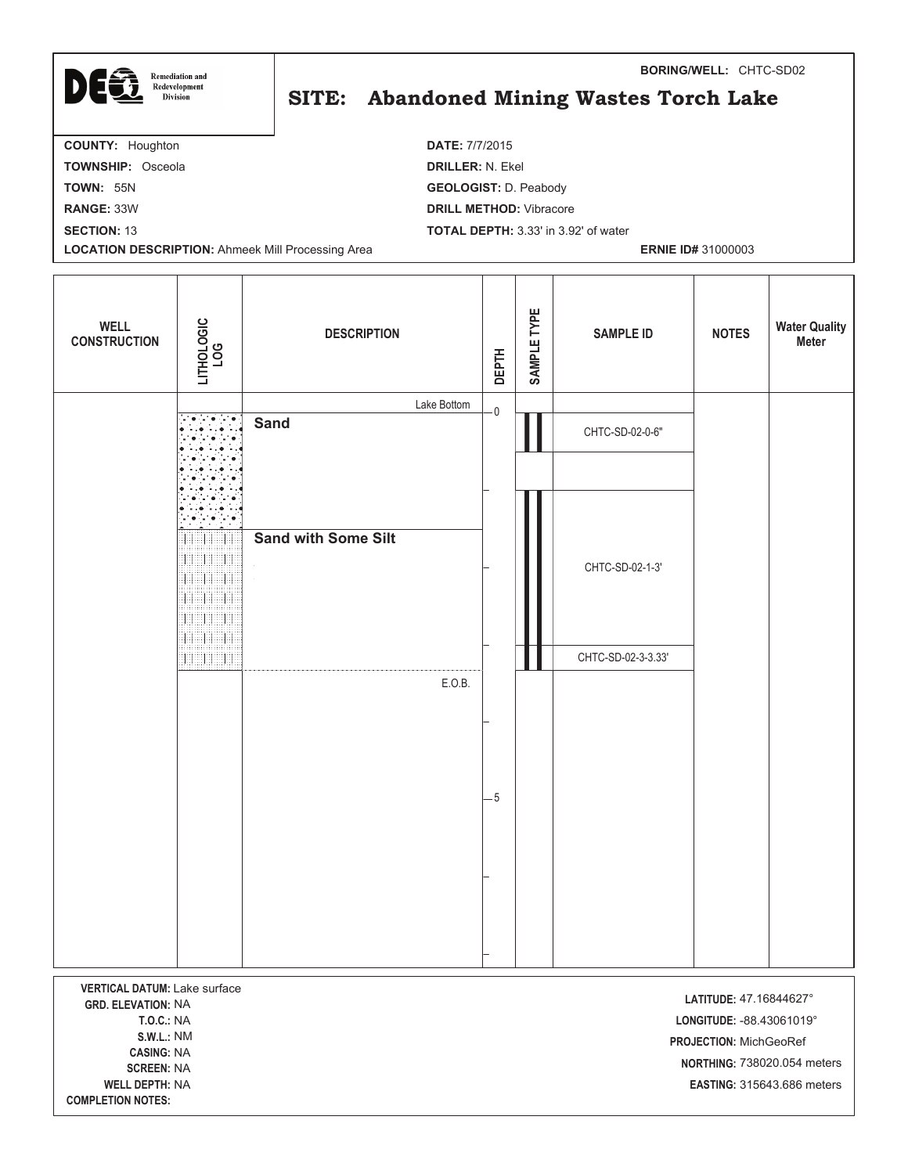| DEG<br><b>Remediation and</b><br>Redevelopment<br><b>Division</b> | <b>BORING/WELL: CHTC-SD02</b><br>SITE: Abandoned Mining Wastes Torch Lake |
|-------------------------------------------------------------------|---------------------------------------------------------------------------|
| <b>COUNTY: Houghton</b>                                           | <b>DATE: 7/7/2015</b>                                                     |
| <b>TOWNSHIP: Osceola</b>                                          | <b>DRILLER: N. Ekel</b>                                                   |
| <b>TOWN: 55N</b>                                                  | <b>GEOLOGIST: D. Peabody</b>                                              |
| <b>RANGE: 33W</b>                                                 | <b>DRILL METHOD:</b> Vibracore                                            |
| <b>SECTION: 13</b>                                                | <b>TOTAL DEPTH: 3.33' in 3.92' of water</b>                               |
| <b>LOCATION DESCRIPTION: Ahmeek Mill Processing Area</b>          | <b>ERNIE ID# 31000003</b>                                                 |

| <b>WELL</b><br><b>CONSTRUCTION</b>                        | LITHOLOGIC<br>LOG                                                      | <b>DESCRIPTION</b>         | <b>DEPTH</b> | SAMPLE TYPE | <b>SAMPLE ID</b>   | <b>NOTES</b>           | <b>Water Quality</b><br><b>Meter</b> |
|-----------------------------------------------------------|------------------------------------------------------------------------|----------------------------|--------------|-------------|--------------------|------------------------|--------------------------------------|
|                                                           |                                                                        | Lake Bottom                | $\mathbf 0$  |             |                    |                        |                                      |
|                                                           |                                                                        | <b>Sand</b>                |              |             | CHTC-SD-02-0-6"    |                        |                                      |
|                                                           |                                                                        |                            |              |             |                    |                        |                                      |
|                                                           |                                                                        |                            |              |             |                    |                        |                                      |
|                                                           | Ħ<br>EH.<br>EH<br>11<br><b>SHEER</b><br>11<br>19899899<br>98 SEPTEMBER | <b>Sand with Some Silt</b> |              |             | CHTC-SD-02-1-3'    |                        |                                      |
|                                                           | <b>BELLET BE</b>                                                       |                            |              |             | CHTC-SD-02-3-3.33' |                        |                                      |
|                                                           |                                                                        | E.O.B.                     |              |             |                    |                        |                                      |
|                                                           |                                                                        |                            | $-5$         |             |                    |                        |                                      |
|                                                           |                                                                        |                            |              |             |                    |                        |                                      |
|                                                           |                                                                        |                            |              |             |                    |                        |                                      |
|                                                           |                                                                        |                            |              |             |                    |                        |                                      |
| VERTICAL DATUM: Lake surface<br><b>GRD. ELEVATION: NA</b> |                                                                        |                            |              |             |                    | LATITUDE: 47.16844627° |                                      |

**T.O.C.:** NA **LONGITUD**  NM **-**CASING: NA **EN:** NA **WELL DE PTH:** NA **-**

**COMPLETION NOTES:** 

**-**  -88.43061019° **PROJECTION: MichGeoRef**  738020.054 meters **-**  315643.686 meters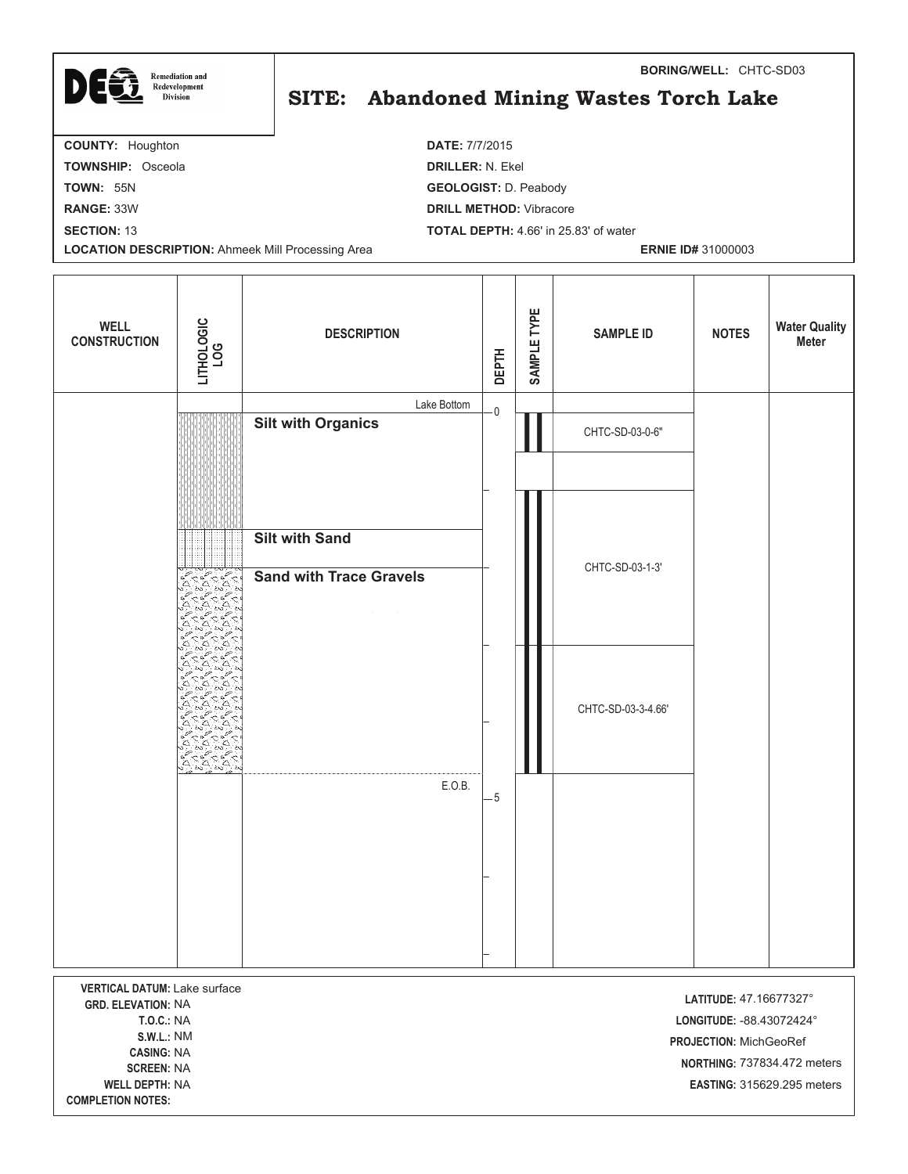| DEG<br><b>Remediation and</b><br>Redevelopment<br><b>Division</b> | <b>BORING/WELL: CHTC-SD03</b><br>SITE: Abandoned Mining Wastes Torch Lake |  |
|-------------------------------------------------------------------|---------------------------------------------------------------------------|--|
| <b>COUNTY: Houghton</b>                                           | <b>DATE: 7/7/2015</b>                                                     |  |
| <b>TOWNSHIP: Osceola</b>                                          | <b>DRILLER: N. Ekel</b>                                                   |  |
| <b>TOWN: 55N</b>                                                  | <b>GEOLOGIST: D. Peabody</b>                                              |  |
| <b>RANGE: 33W</b>                                                 | <b>DRILL METHOD:</b> Vibracore                                            |  |
| <b>SECTION: 13</b>                                                | <b>TOTAL DEPTH: 4.66' in 25.83' of water</b>                              |  |
| <b>LOCATION DESCRIPTION: Ahmeek Mill Processing Area</b>          | <b>ERNIE ID# 31000003</b>                                                 |  |

| <b>WELL</b><br><b>CONSTRUCTION</b>                               | LITHOLOGIC<br>LOG                      | <b>DESCRIPTION</b>             | <b>DEPTH</b> | SAMPLE TYPE | <b>SAMPLE ID</b>   | <b>NOTES</b>                                          | <b>Water Quality</b><br><b>Meter</b> |
|------------------------------------------------------------------|----------------------------------------|--------------------------------|--------------|-------------|--------------------|-------------------------------------------------------|--------------------------------------|
|                                                                  |                                        | Lake Bottom                    | $\mathsf{O}$ |             |                    |                                                       |                                      |
|                                                                  |                                        | <b>Silt with Organics</b>      |              |             | CHTC-SD-03-0-6"    |                                                       |                                      |
|                                                                  |                                        |                                |              |             |                    |                                                       |                                      |
|                                                                  |                                        |                                |              |             |                    |                                                       |                                      |
|                                                                  |                                        | Silt with Sand                 |              |             |                    |                                                       |                                      |
|                                                                  | <b>LOLAR</b>                           | <b>Sand with Trace Gravels</b> |              |             | CHTC-SD-03-1-3'    |                                                       |                                      |
|                                                                  |                                        |                                |              |             |                    |                                                       |                                      |
|                                                                  |                                        |                                |              |             |                    |                                                       |                                      |
|                                                                  |                                        |                                |              |             |                    |                                                       |                                      |
|                                                                  |                                        |                                |              |             | CHTC-SD-03-3-4.66' |                                                       |                                      |
|                                                                  |                                        |                                |              |             |                    |                                                       |                                      |
|                                                                  | <u>်မိုင်မိုး</u><br>$\triangle$<br>ъś |                                |              |             |                    |                                                       |                                      |
|                                                                  |                                        | E.O.B.                         | - 5          |             |                    |                                                       |                                      |
|                                                                  |                                        |                                |              |             |                    |                                                       |                                      |
|                                                                  |                                        |                                |              |             |                    |                                                       |                                      |
|                                                                  |                                        |                                |              |             |                    |                                                       |                                      |
|                                                                  |                                        |                                |              |             |                    |                                                       |                                      |
|                                                                  |                                        |                                |              |             |                    |                                                       |                                      |
| <b>VERTICAL DATUM: Lake surface</b><br><b>GRD. ELEVATION: NA</b> |                                        |                                |              |             |                    | LATITUDE: 47.16677327°                                |                                      |
| <b>T.O.C.: NA</b>                                                |                                        |                                |              |             |                    | LONGITUDE: - 88.43072424°                             |                                      |
| <b>S.W.L.: NM</b><br><b>CASING: NA</b><br><b>CODEEN-NIA</b>      |                                        |                                |              |             |                    | PROJECTION: MichGeoRef<br>NORTHING: 737834.472 meters |                                      |

**WELL DE** 

**COMPLETION NOTES:** 

Г

**PTH:** NA **-EASTING: 315629.295 meters**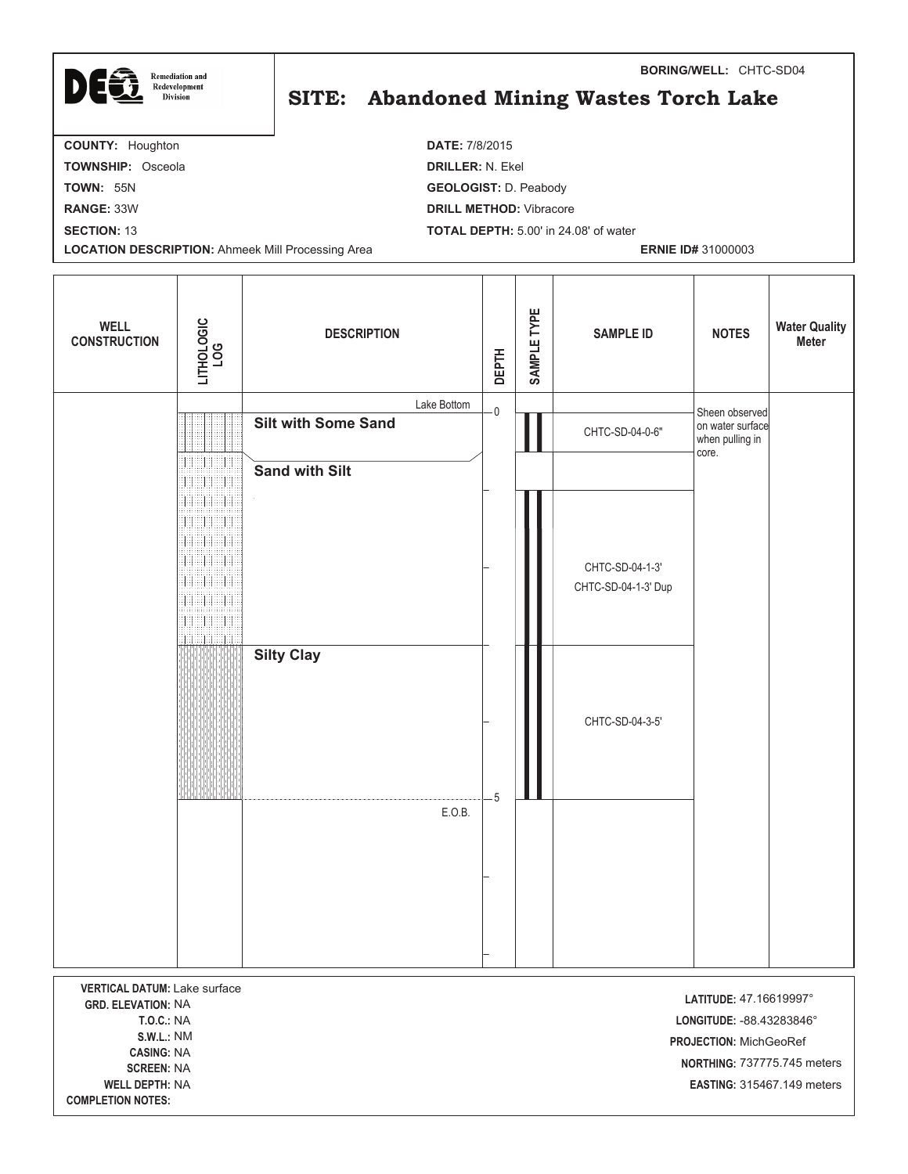| DEG<br><b>Remediation and</b><br>Redevelopment<br><b>Division</b> | <b>BORING/WELL: CHTC-SD04</b><br>SITE: Abandoned Mining Wastes Torch Lake |
|-------------------------------------------------------------------|---------------------------------------------------------------------------|
| <b>COUNTY: Houghton</b>                                           | <b>DATE: 7/8/2015</b>                                                     |
| <b>TOWNSHIP: Osceola</b>                                          | <b>DRILLER: N. Ekel</b>                                                   |
| <b>TOWN: 55N</b>                                                  | <b>GEOLOGIST: D. Peabody</b>                                              |
| <b>RANGE: 33W</b>                                                 | <b>DRILL METHOD: Vibracore</b>                                            |

**SECTION:** 13 **TOTAL DEPTH:** 5.00' in 24.08' of water

**LOCATION DESCRIPTION:** Ahmeek Mill Processing Area **ERNIE ID#** 31000003

T

| <b>WELL</b><br><b>CONSTRUCTION</b>                                                                                                                                                                        | LITHOLOGIC<br>LOG                                                                                                                      | <b>DESCRIPTION</b>         |             | <b>DEPTH</b>   | SAMPLE TYPE | <b>SAMPLE ID</b>                       | <b>NOTES</b>                                                                  | <b>Water Quality</b><br><b>Meter</b>                             |
|-----------------------------------------------------------------------------------------------------------------------------------------------------------------------------------------------------------|----------------------------------------------------------------------------------------------------------------------------------------|----------------------------|-------------|----------------|-------------|----------------------------------------|-------------------------------------------------------------------------------|------------------------------------------------------------------|
|                                                                                                                                                                                                           |                                                                                                                                        | <b>Silt with Some Sand</b> | Lake Bottom | $\cdot$ O      |             |                                        | Sheen observed<br>on water surface                                            |                                                                  |
|                                                                                                                                                                                                           | $\pm 1$                                                                                                                                |                            |             |                |             | CHTC-SD-04-0-6"                        | when pulling in<br>core.                                                      |                                                                  |
|                                                                                                                                                                                                           | $\pm 1$                                                                                                                                | <b>Sand with Silt</b>      |             |                |             |                                        |                                                                               |                                                                  |
|                                                                                                                                                                                                           | $\mathbb H$<br>THE HE<br>$\mathbb{H}$<br>非担<br>38 SH<br>41<br>ali ili<br>非<br><b>THE HE</b><br>罪<br>11111<br>18888888<br>48<br>3888888 |                            |             |                |             | CHTC-SD-04-1-3'<br>CHTC-SD-04-1-3' Dup |                                                                               |                                                                  |
|                                                                                                                                                                                                           |                                                                                                                                        | <b>Silty Clay</b>          |             | $\overline{5}$ |             | CHTC-SD-04-3-5'                        |                                                                               |                                                                  |
|                                                                                                                                                                                                           |                                                                                                                                        |                            | E.O.B.      |                |             |                                        |                                                                               |                                                                  |
|                                                                                                                                                                                                           |                                                                                                                                        |                            |             |                |             |                                        |                                                                               |                                                                  |
|                                                                                                                                                                                                           |                                                                                                                                        |                            |             |                |             |                                        |                                                                               |                                                                  |
| <b>VERTICAL DATUM: Lake surface</b><br><b>GRD. ELEVATION: NA</b><br><b>T.O.C.: NA</b><br><b>S.W.L.: NM</b><br><b>CASING: NA</b><br><b>SCREEN: NA</b><br><b>WELL DEPTH: NA</b><br><b>COMPLETION NOTES:</b> |                                                                                                                                        |                            |             |                |             |                                        | LATITUDE: 47.16619997°<br>LONGITUDE: - 88.43283846°<br>PROJECTION: MichGeoRef | NORTHING: 737775.745 meters<br><b>EASTING: 315467.149 meters</b> |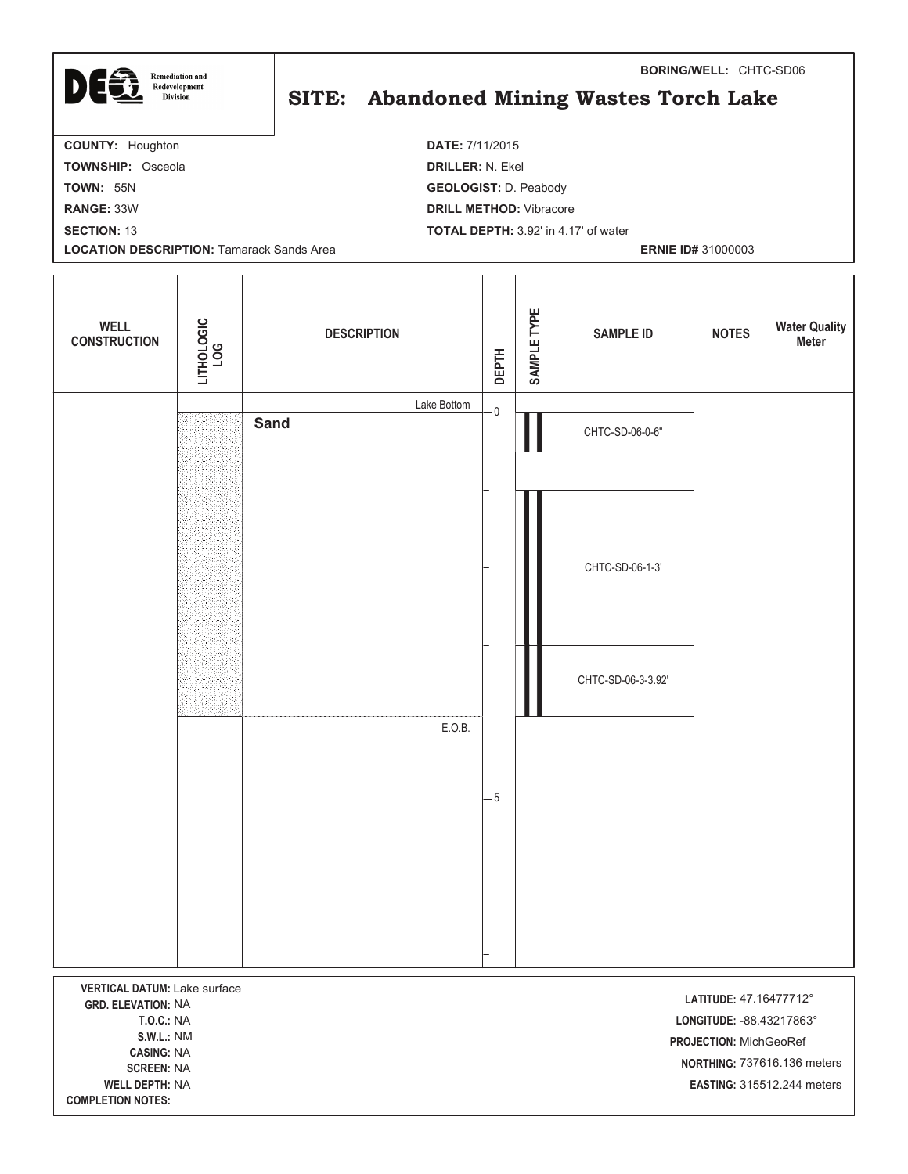| DEG<br><b>Remediation and</b>    | <b>BORING/WELL: CHTC-SD06</b>               |  |  |  |  |  |
|----------------------------------|---------------------------------------------|--|--|--|--|--|
| Redevelopment<br><b>Division</b> | SITE: Abandoned Mining Wastes Torch Lake    |  |  |  |  |  |
| <b>COUNTY: Houghton</b>          | <b>DATE: 7/11/2015</b>                      |  |  |  |  |  |
| <b>TOWNSHIP: Osceola</b>         | <b>DRILLER: N. Ekel</b>                     |  |  |  |  |  |
| <b>TOWN: 55N</b>                 | <b>GEOLOGIST: D. Peabody</b>                |  |  |  |  |  |
| <b>RANGE: 33W</b>                | <b>DRILL METHOD:</b> Vibracore              |  |  |  |  |  |
| <b>SECTION: 13</b>               | <b>TOTAL DEPTH:</b> 3.92' in 4.17' of water |  |  |  |  |  |

**LOCATION DESCRIPTION:** Tamarack Sands Area **ERNIE ID#** 31000003

Τ

| <b>WELL</b><br><b>CONSTRUCTION</b>                                                                                                                                                                 | LITHOLOGIC<br>LOG | <b>DESCRIPTION</b> | <b>DEPTH</b> | SAMPLE TYPE | <b>SAMPLE ID</b>   | <b>NOTES</b>                                                                  | <b>Water Quality</b><br>Meter                             |
|----------------------------------------------------------------------------------------------------------------------------------------------------------------------------------------------------|-------------------|--------------------|--------------|-------------|--------------------|-------------------------------------------------------------------------------|-----------------------------------------------------------|
|                                                                                                                                                                                                    |                   | Lake Bottom        | $-0$         |             |                    |                                                                               |                                                           |
|                                                                                                                                                                                                    |                   | <b>Sand</b>        |              |             | CHTC-SD-06-0-6"    |                                                                               |                                                           |
|                                                                                                                                                                                                    |                   |                    |              |             | CHTC-SD-06-1-3'    |                                                                               |                                                           |
|                                                                                                                                                                                                    |                   |                    |              |             | CHTC-SD-06-3-3.92' |                                                                               |                                                           |
|                                                                                                                                                                                                    |                   | E.O.B.             | $-5$         |             |                    |                                                                               |                                                           |
|                                                                                                                                                                                                    |                   |                    |              |             |                    |                                                                               |                                                           |
|                                                                                                                                                                                                    |                   |                    |              |             |                    |                                                                               |                                                           |
| VERTICAL DATUM: Lake surface<br><b>GRD. ELEVATION: NA</b><br><b>T.O.C.: NA</b><br><b>S.W.L.: NM</b><br><b>CASING: NA</b><br><b>SCREEN: NA</b><br><b>WELL DEPTH: NA</b><br><b>COMPLETION NOTES:</b> |                   |                    |              |             |                    | LATITUDE: 47.16477712°<br>LONGITUDE: - 88.43217863°<br>PROJECTION: MichGeoRef | NORTHING: 737616.136 meters<br>EASTING: 315512.244 meters |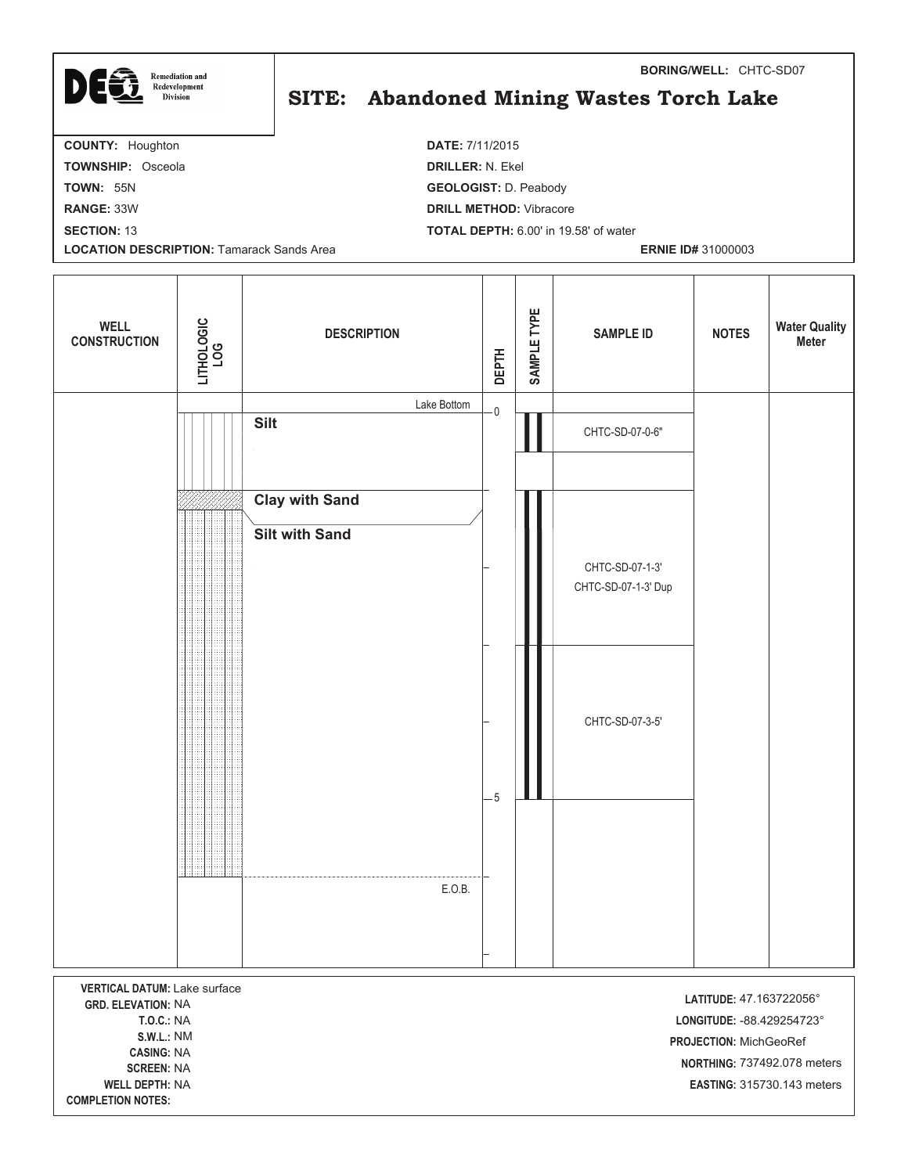

## SITE: Abandoned Mining Wastes Torch Lake

**BORING/WELL:** CHTC-SD07

**COUNTY:** Houghton **DATE:** 7/11/2015 **TOWNSHIP:** Osceola **DRILLER:** N. Ekel **TOWN:** 55N **GEOLOGIST:** D. Peabody **RANGE:** 33W **DRILL METHOD:** Vibracore **SECTION:** 13 **TOTAL DEPTH:** 6.00' in 19.58' of water **LOCATION DESCRIPTION:** Tamarack Sands Area **ERNIE ID#** 31000003

| <b>WELL</b><br><b>CONSTRUCTION</b>                                                                                                                                                                        | LITHOLOGIC<br>LOG | <b>DESCRIPTION</b>                             | <b>DEPTH</b> | SAMPLE TYPE | <b>SAMPLE ID</b>                       | <b>NOTES</b>                                                                    | <b>Water Quality</b><br><b>Meter</b>                             |
|-----------------------------------------------------------------------------------------------------------------------------------------------------------------------------------------------------------|-------------------|------------------------------------------------|--------------|-------------|----------------------------------------|---------------------------------------------------------------------------------|------------------------------------------------------------------|
|                                                                                                                                                                                                           |                   | Lake Bottom<br><b>Silt</b>                     | $\cdot$ O    |             | CHTC-SD-07-0-6"                        |                                                                                 |                                                                  |
|                                                                                                                                                                                                           |                   | <b>Clay with Sand</b><br><b>Silt with Sand</b> |              |             | CHTC-SD-07-1-3'<br>CHTC-SD-07-1-3' Dup |                                                                                 |                                                                  |
|                                                                                                                                                                                                           |                   |                                                | $-5$         |             | CHTC-SD-07-3-5'                        |                                                                                 |                                                                  |
|                                                                                                                                                                                                           |                   |                                                |              |             |                                        |                                                                                 |                                                                  |
|                                                                                                                                                                                                           |                   | E.O.B.                                         |              |             |                                        |                                                                                 |                                                                  |
| <b>VERTICAL DATUM: Lake surface</b><br><b>GRD. ELEVATION: NA</b><br><b>T.O.C.: NA</b><br><b>S.W.L.: NM</b><br><b>CASING: NA</b><br><b>SCREEN: NA</b><br><b>WELL DEPTH: NA</b><br><b>COMPLETION NOTES:</b> |                   |                                                |              |             |                                        | LATITUDE: 47.163722056°<br>LONGITUDE: - 88.429254723°<br>PROJECTION: MichGeoRef | NORTHING: 737492.078 meters<br><b>EASTING: 315730.143 meters</b> |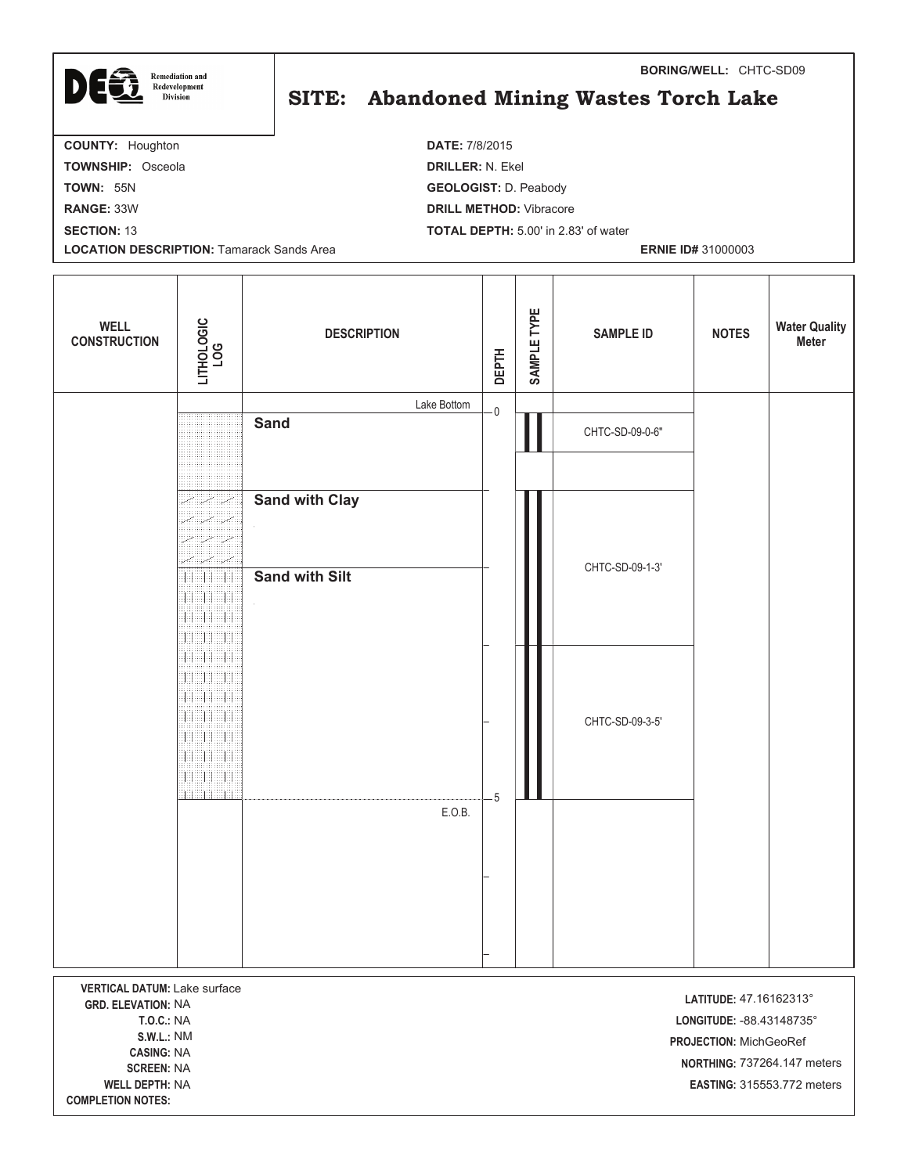

## SITE: Abandoned Mining Wastes Torch Lake

**BORING/WELL:** CHTC-SD09

**COUNTY:** Houghton **DATE:** 7/8/2015 **TOWNSHIP:** Osceola **DRILLER:** N. Ekel **TOWN:** 55N **GEOLOGIST:** D. Peabody **RANGE:** 33W **DRILL METHOD:** Vibracore **SECTION:** 13 **TOTAL DEPTH:** 5.00' in 2.83' of water **LOCATION DESCRIPTION:** Tamarack Sands Area **ERNIE ID#** 31000003

| <b>WELL</b><br><b>CONSTRUCTION</b>                                                    | LITHOLOGIC<br>LOG                    | <b>DESCRIPTION</b>    | <b>DEPTH</b> | SAMPLE TYPE | <b>SAMPLE ID</b> | <b>NOTES</b>                                        | <b>Water Quality</b><br><b>Meter</b>                                    |
|---------------------------------------------------------------------------------------|--------------------------------------|-----------------------|--------------|-------------|------------------|-----------------------------------------------------|-------------------------------------------------------------------------|
|                                                                                       |                                      | Lake Bottom<br>Sand   | $\cdot$ O    |             |                  |                                                     |                                                                         |
|                                                                                       |                                      |                       |              |             | CHTC-SD-09-0-6"  |                                                     |                                                                         |
|                                                                                       | ZI ZI ZI                             | <b>Sand with Clay</b> |              |             |                  |                                                     |                                                                         |
|                                                                                       | Z                                    |                       |              |             |                  |                                                     |                                                                         |
|                                                                                       | Ħ<br><b>SHERRI</b>                   | <b>Sand with Silt</b> |              |             | CHTC-SD-09-1-3'  |                                                     |                                                                         |
|                                                                                       | $\mathbb{H}$<br>38888<br>11 11 11 11 |                       |              |             |                  |                                                     |                                                                         |
|                                                                                       | 11<br>HH HH<br>11<br>98898           |                       |              |             |                  |                                                     |                                                                         |
|                                                                                       | 11<br>11 11 11<br>非用用用用              |                       |              |             | CHTC-SD-09-3-5'  |                                                     |                                                                         |
|                                                                                       |                                      |                       |              |             |                  |                                                     |                                                                         |
|                                                                                       |                                      | E.O.B.                | $-5$         |             |                  |                                                     |                                                                         |
|                                                                                       |                                      |                       |              |             |                  |                                                     |                                                                         |
|                                                                                       |                                      |                       |              |             |                  |                                                     |                                                                         |
|                                                                                       |                                      |                       |              |             |                  |                                                     |                                                                         |
|                                                                                       |                                      |                       |              |             |                  |                                                     |                                                                         |
| <b>VERTICAL DATUM: Lake surface</b><br><b>GRD. ELEVATION: NA</b><br><b>T.O.C.: NA</b> |                                      |                       |              |             |                  | LATITUDE: 47.16162313°<br>LONGITUDE: - 88.43148735° |                                                                         |
| <b>S.W.L.: NM</b><br><b>CASING: NA</b>                                                |                                      |                       |              |             |                  | PROJECTION: MichGeoRef                              |                                                                         |
| <b>SCREEN: NA</b><br><b>WELL DEPTH: NA</b>                                            |                                      |                       |              |             |                  |                                                     | <b>NORTHING: 737264.147 meters</b><br><b>EASTING: 315553.772 meters</b> |
| <b>COMPLETION NOTES:</b>                                                              |                                      |                       |              |             |                  |                                                     |                                                                         |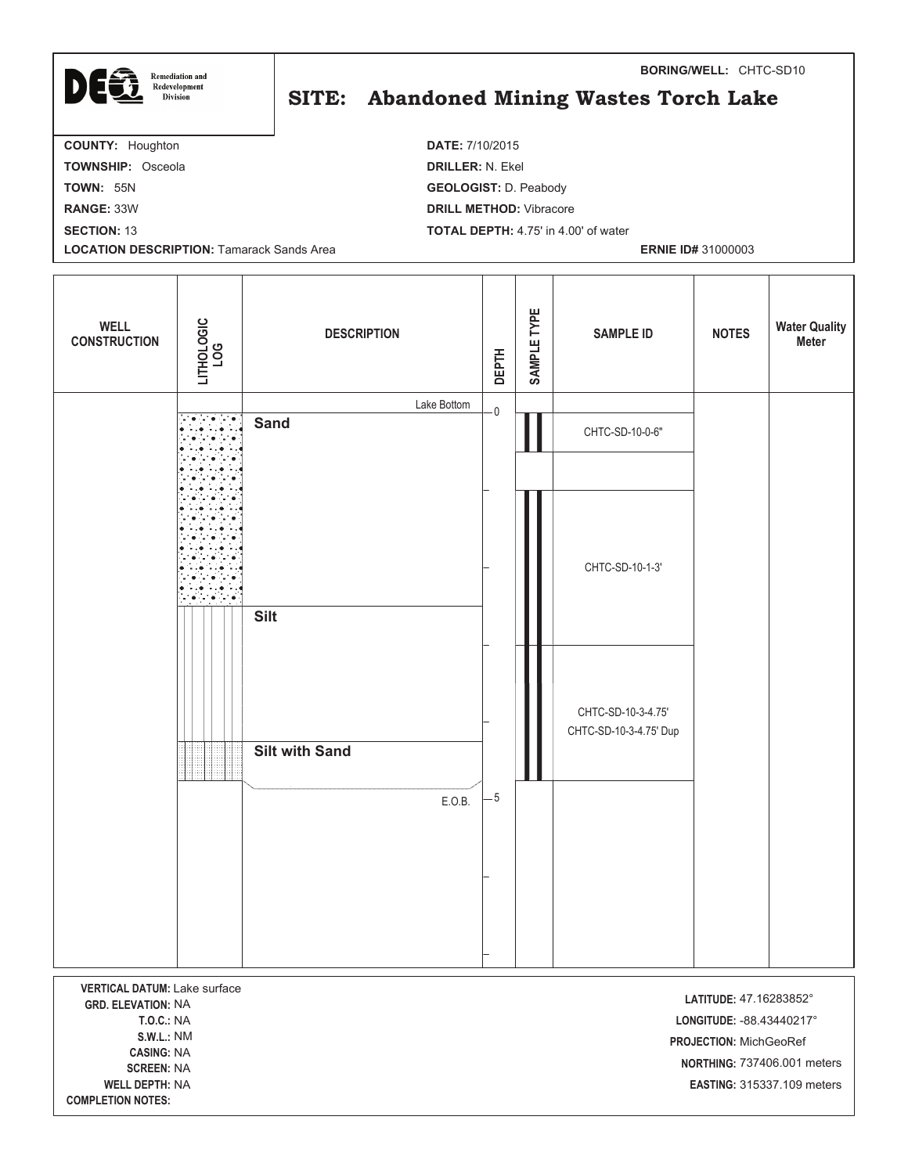| <b>Remediation and</b><br>DECT<br>Redevelopment<br><b>Division</b> | <b>BORING/WELL: CHTC-SD10</b><br>SITE: Abandoned Mining Wastes Torch Lake |
|--------------------------------------------------------------------|---------------------------------------------------------------------------|
| <b>COUNTY: Houghton</b>                                            | <b>DATE: 7/10/2015</b>                                                    |
| <b>TOWNSHIP: Osceola</b>                                           | <b>DRILLER: N. Ekel</b>                                                   |
| <b>TOWN: 55N</b>                                                   | <b>GEOLOGIST: D. Peabody</b>                                              |
| <b>RANGE: 33W</b>                                                  | <b>DRILL METHOD:</b> Vibracore                                            |
| <b>SECTION: 13</b>                                                 | <b>TOTAL DEPTH:</b> 4.75' in 4.00' of water                               |
| <b>LOCATION DESCRIPTION: Tamarack Sands Area</b>                   | <b>ERNIE ID# 31000003</b>                                                 |
|                                                                    |                                                                           |

| <b>WELL</b><br><b>CONSTRUCTION</b>                                                                                                                   | LITHOLOGIC<br>LOG | <b>DESCRIPTION</b>    | <b>DEPTH</b> | SAMPLE TYPE | <b>SAMPLE ID</b>                             | <b>NOTES</b>                                                                  | <b>Water Quality</b><br>Meter |
|------------------------------------------------------------------------------------------------------------------------------------------------------|-------------------|-----------------------|--------------|-------------|----------------------------------------------|-------------------------------------------------------------------------------|-------------------------------|
|                                                                                                                                                      |                   | Lake Bottom           | $\mathsf{O}$ |             |                                              |                                                                               |                               |
|                                                                                                                                                      |                   | <b>Sand</b>           |              |             | CHTC-SD-10-0-6"                              |                                                                               |                               |
|                                                                                                                                                      |                   |                       |              |             |                                              |                                                                               |                               |
|                                                                                                                                                      |                   |                       |              |             | CHTC-SD-10-1-3'                              |                                                                               |                               |
|                                                                                                                                                      |                   | <b>Silt</b>           |              |             |                                              |                                                                               |                               |
|                                                                                                                                                      |                   | <b>Silt with Sand</b> |              |             | CHTC-SD-10-3-4.75'<br>CHTC-SD-10-3-4.75' Dup |                                                                               |                               |
|                                                                                                                                                      |                   |                       | $-5$         |             |                                              |                                                                               |                               |
|                                                                                                                                                      |                   | E.O.B.                |              |             |                                              |                                                                               |                               |
| <b>VERTICAL DATUM: Lake surface</b><br><b>GRD. ELEVATION: NA</b><br><b>T.O.C.: NA</b><br><b>S.W.L.: NM</b><br><b>CASING: NA</b><br><b>CODEEN-NIA</b> |                   |                       |              |             |                                              | LATITUDE: 47.16283852°<br>LONGITUDE: - 88.43440217°<br>PROJECTION: MichGeoRef | NORTHING: 737406.001 meters   |

**- -**

**COMPLETION NOTES:** 

**PTH:** NA **-EASTING: 315337.109 meters**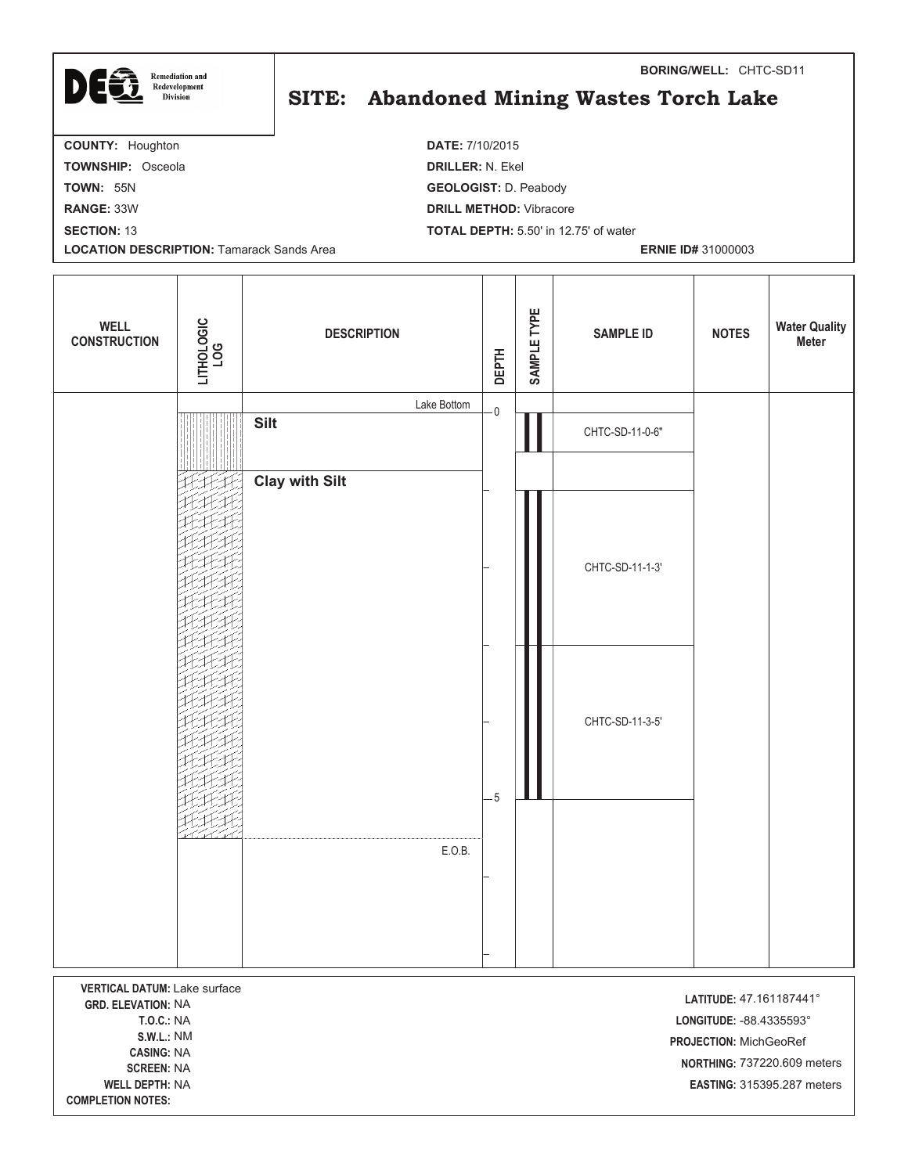

| <b>WELL</b><br><b>CONSTRUCTION</b>             | LITHOLOGIC<br>LOG | <b>DESCRIPTION</b>    | <b>DEPTH</b>            | SAMPLE TYPE | <b>SAMPLE ID</b> | <b>NOTES</b>             | <b>Water Quality</b><br>Meter |
|------------------------------------------------|-------------------|-----------------------|-------------------------|-------------|------------------|--------------------------|-------------------------------|
|                                                |                   | Lake Bottom           | $\overline{\mathbf{0}}$ |             |                  |                          |                               |
|                                                |                   | <b>Silt</b>           |                         |             | CHTC-SD-11-0-6"  |                          |                               |
|                                                |                   |                       |                         |             |                  |                          |                               |
|                                                |                   | <b>Clay with Silt</b> |                         |             |                  |                          |                               |
|                                                |                   |                       |                         |             |                  |                          |                               |
|                                                |                   |                       |                         |             | CHTC-SD-11-1-3'  |                          |                               |
|                                                |                   |                       |                         |             |                  |                          |                               |
|                                                |                   |                       |                         |             |                  |                          |                               |
|                                                |                   |                       |                         |             |                  |                          |                               |
|                                                |                   |                       |                         |             |                  |                          |                               |
|                                                |                   |                       |                         |             | CHTC-SD-11-3-5'  |                          |                               |
|                                                |                   |                       |                         |             |                  |                          |                               |
|                                                |                   |                       |                         |             |                  |                          |                               |
|                                                |                   |                       | $-5$                    |             |                  |                          |                               |
|                                                |                   | E.O.B.                |                         |             |                  |                          |                               |
|                                                |                   |                       |                         |             |                  |                          |                               |
|                                                |                   |                       |                         |             |                  |                          |                               |
|                                                |                   |                       |                         |             |                  |                          |                               |
|                                                |                   |                       |                         |             |                  |                          |                               |
| VERTICAL DATUM: Lake surface                   |                   |                       |                         |             |                  | LATITUDE: 47.161187441°  |                               |
| <b>GRD. ELEVATION: NA</b><br><b>T.O.C.: NA</b> |                   |                       |                         |             |                  | LONGITUDE: - 88.4335593° |                               |

 NM **-**CASING: NA **EN:** NA **- -PTH:** NA **-**

**COMPLETION NOTES:** 

**PROJECTION: MichGeoRef NORTHING: 737220.609 meters**  315395.287 meters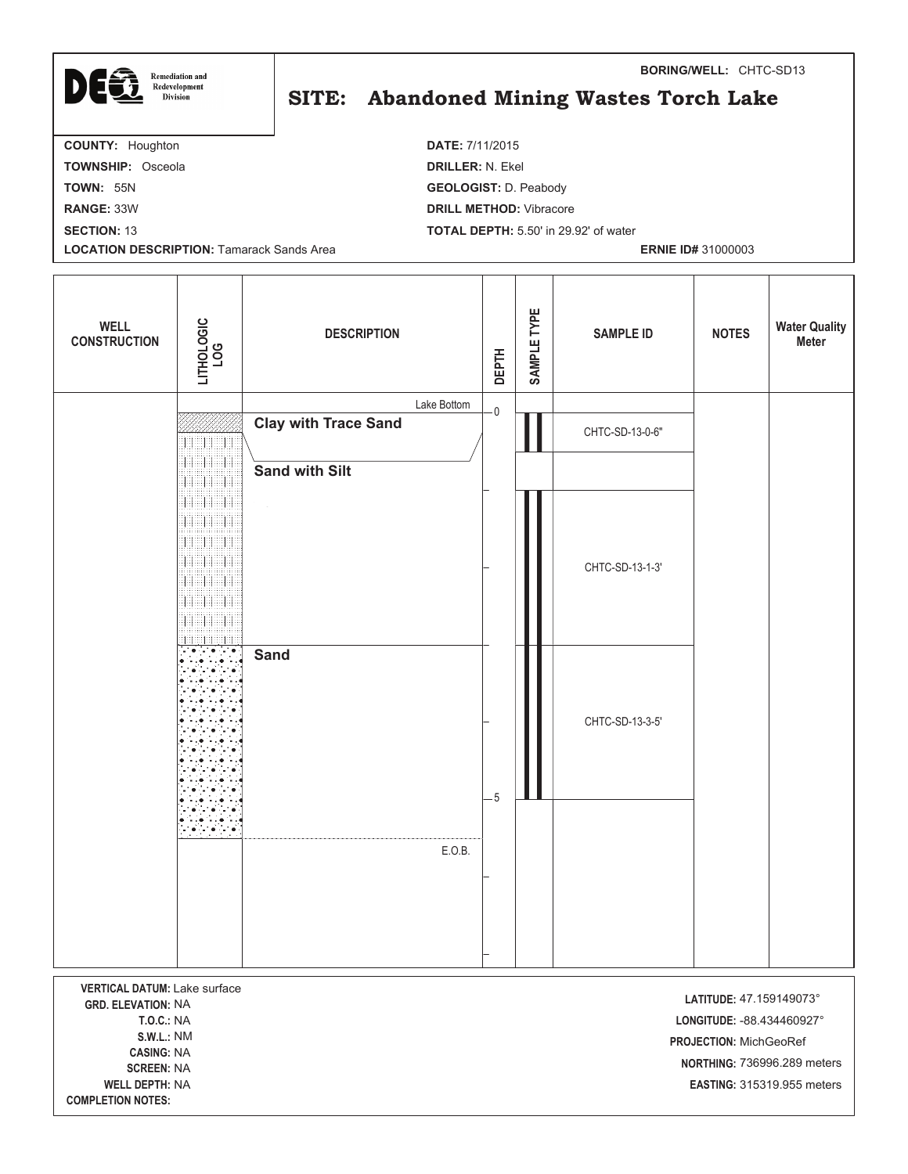| <b>Remediation and</b><br>DEC<br>Redevelopment<br><b>Division</b> | <b>BORING/WELL: CHTC-SD13</b><br>SITE: Abandoned Mining Wastes Torch Lake |
|-------------------------------------------------------------------|---------------------------------------------------------------------------|
| <b>COUNTY: Houghton</b>                                           | <b>DATE: 7/11/2015</b>                                                    |
| <b>TOWNSHIP: Osceola</b>                                          | <b>DRILLER: N. Ekel</b>                                                   |
| <b>TOWN: 55N</b>                                                  | <b>GEOLOGIST: D. Peabody</b>                                              |
| <b>RANGE: 33W</b>                                                 | <b>DRILL METHOD:</b> Vibracore                                            |
| <b>SECTION: 13</b>                                                | <b>TOTAL DEPTH:</b> 5.50' in 29.92' of water                              |
| <b>LOCATION DESCRIPTION: Tamarack Sands Area</b>                  | <b>ERNIE ID# 31000003</b>                                                 |
|                                                                   |                                                                           |

| <b>WELL</b><br><b>CONSTRUCTION</b>                                                                                       | LITHOLOGIC<br>LOG                                                          | <b>DESCRIPTION</b>          | <b>DEPTH</b>   | SAMPLE TYPE | <b>SAMPLE ID</b> | <b>NOTES</b>                                                                    | <b>Water Quality</b><br>Meter                             |
|--------------------------------------------------------------------------------------------------------------------------|----------------------------------------------------------------------------|-----------------------------|----------------|-------------|------------------|---------------------------------------------------------------------------------|-----------------------------------------------------------|
|                                                                                                                          |                                                                            | Lake Bottom                 | $\overline{0}$ |             |                  |                                                                                 |                                                           |
|                                                                                                                          | <b>SHEER</b>                                                               | <b>Clay with Trace Sand</b> |                |             | CHTC-SD-13-0-6"  |                                                                                 |                                                           |
|                                                                                                                          | EH H<br>999<br>8                                                           | <b>Sand with Silt</b>       |                |             |                  |                                                                                 |                                                           |
|                                                                                                                          | an an B<br>Ħ<br>BHBBH<br>Н<br><b>EN BI</b><br>11<br>BBBBBBBB<br>98<br>sist |                             |                |             | CHTC-SD-13-1-3'  |                                                                                 |                                                           |
|                                                                                                                          |                                                                            | <b>Sand</b>                 | $-5$           |             | CHTC-SD-13-3-5'  |                                                                                 |                                                           |
|                                                                                                                          | in e line                                                                  | E.O.B.                      |                |             |                  |                                                                                 |                                                           |
|                                                                                                                          |                                                                            |                             |                |             |                  |                                                                                 |                                                           |
|                                                                                                                          |                                                                            |                             |                |             |                  |                                                                                 |                                                           |
| VERTICAL DATUM: Lake surface<br><b>GRD. ELEVATION: NA</b><br><b>T.O.C.: NA</b><br><b>S.W.L.: NM</b><br><b>CASING: NA</b> |                                                                            |                             |                |             |                  | LATITUDE: 47.159149073°<br>LONGITUDE: - 88.434460927°<br>PROJECTION: MichGeoRef |                                                           |
| <b>SCREEN: NA</b><br><b>WELL DEPTH: NA</b>                                                                               |                                                                            |                             |                |             |                  |                                                                                 | NORTHING: 736996.289 meters<br>EASTING: 315319.955 meters |

ſ

**PTH:** NA **-**

**COMPLETION NOTES:**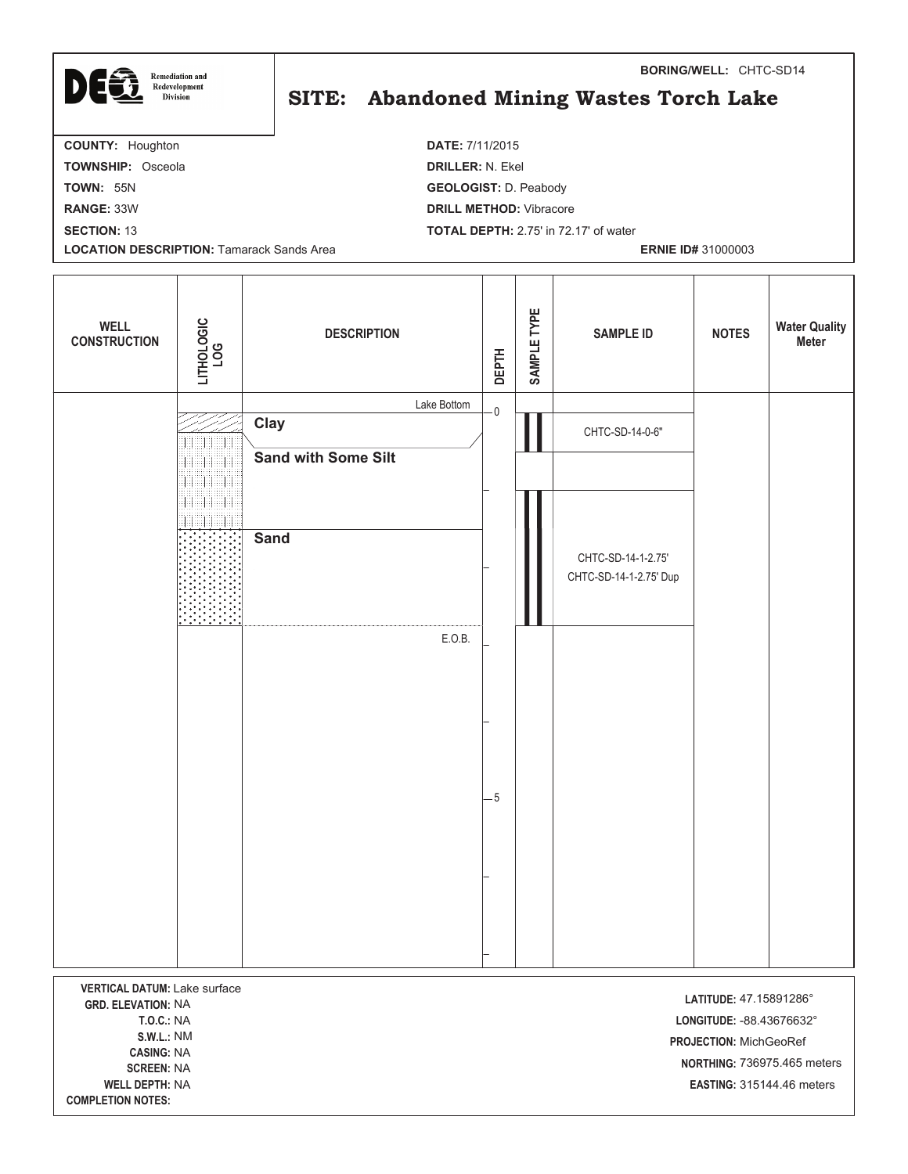| 16<br><b>Remediation and</b><br>D<br>Redevelopment<br><b>Division</b> | <b>BORING/WELL: CHTC-SD14</b><br>SITE: Abandoned Mining Wastes Torch Lake |
|-----------------------------------------------------------------------|---------------------------------------------------------------------------|
| <b>COUNTY: Houghton</b>                                               | <b>DATE: 7/11/2015</b>                                                    |
| <b>TOWNSHIP: Osceola</b>                                              | <b>DRILLER: N. Ekel</b>                                                   |
| <b>TOWN: 55N</b>                                                      | <b>GEOLOGIST: D. Peabody</b>                                              |
| <b>RANGE: 33W</b>                                                     | <b>DRILL METHOD:</b> Vibracore                                            |
| <b>SECTION: 13</b>                                                    | <b>TOTAL DEPTH: 2.75' in 72.17' of water</b>                              |
| <b>LOCATION DESCRIPTION: Tamarack Sands Area</b>                      | <b>ERNIE ID# 31000003</b>                                                 |
|                                                                       |                                                                           |

| <b>WELL</b><br><b>CONSTRUCTION</b>                                                                                       | LITHOLOGIC<br>LOG        | <b>DESCRIPTION</b>  |             | <b>DEPTH</b> | SAMPLE TYPE | <b>SAMPLE ID</b>                             | <b>NOTES</b>                                                                  | <b>Water Quality</b><br><b>Meter</b> |
|--------------------------------------------------------------------------------------------------------------------------|--------------------------|---------------------|-------------|--------------|-------------|----------------------------------------------|-------------------------------------------------------------------------------|--------------------------------------|
|                                                                                                                          |                          |                     | Lake Bottom | $\mathbf 0$  |             |                                              |                                                                               |                                      |
|                                                                                                                          | 11                       | Clay                |             |              |             | CHTC-SD-14-0-6"                              |                                                                               |                                      |
|                                                                                                                          | <b>TERRITORIA</b><br>II. | Sand with Some Silt |             |              |             |                                              |                                                                               |                                      |
|                                                                                                                          | 33839                    | <b>Sand</b>         |             |              |             | CHTC-SD-14-1-2.75'<br>CHTC-SD-14-1-2.75' Dup |                                                                               |                                      |
|                                                                                                                          |                          |                     | E.O.B.      |              |             |                                              |                                                                               |                                      |
|                                                                                                                          |                          |                     |             |              |             |                                              |                                                                               |                                      |
|                                                                                                                          |                          |                     |             | - 5          |             |                                              |                                                                               |                                      |
|                                                                                                                          |                          |                     |             |              |             |                                              |                                                                               |                                      |
|                                                                                                                          |                          |                     |             |              |             |                                              |                                                                               |                                      |
| VERTICAL DATUM: Lake surface<br><b>GRD. ELEVATION: NA</b><br><b>T.O.C.: NA</b><br><b>S.W.L.: NM</b><br><b>CASING: NA</b> |                          |                     |             |              |             |                                              | LATITUDE: 47.15891286°<br>LONGITUDE: - 88.43676632°<br>PROJECTION: MichGeoRef |                                      |

**- -**

**COMPLETION NOTES:** 

 736975.465 meters **-PTH:** NA **-EASTING: 315144.46 meters**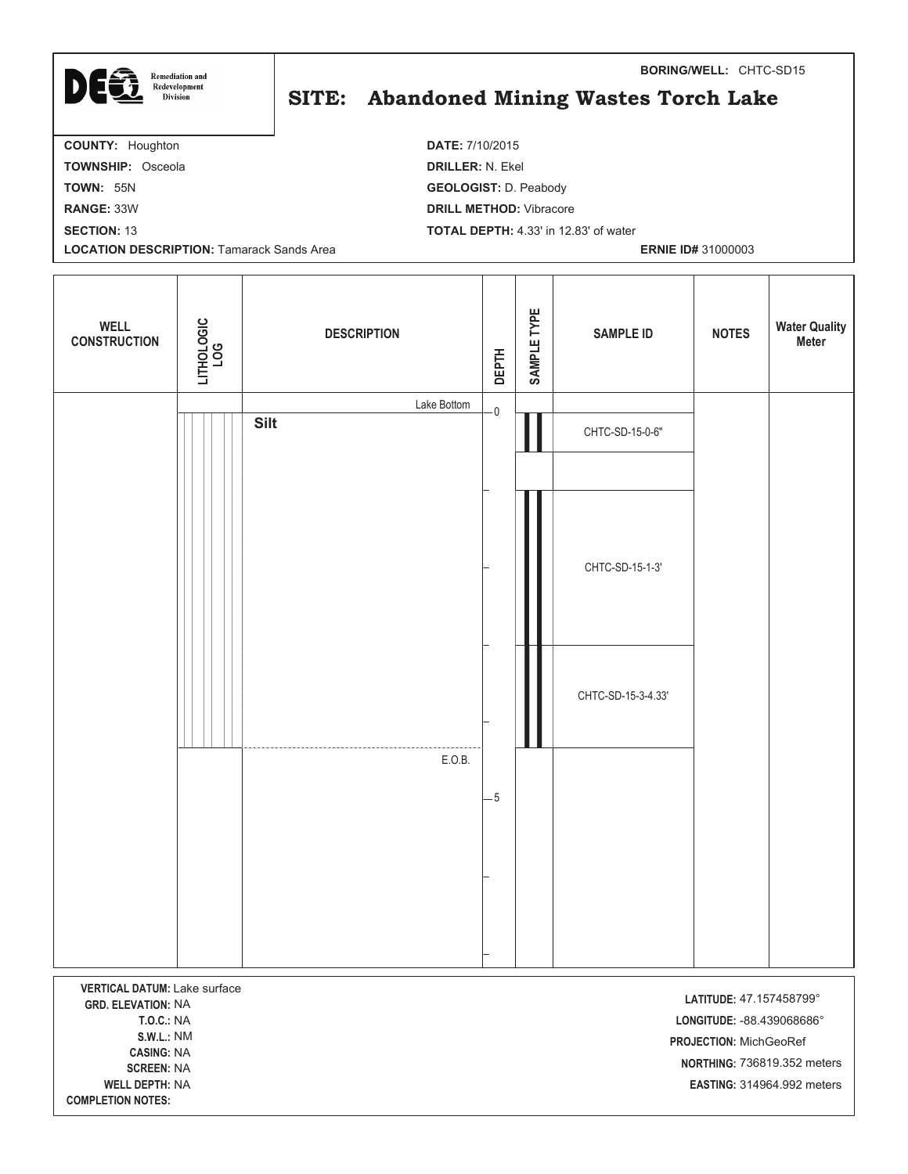

## SITE: Abandoned Mining Wastes Torch Lake

**BORING/WELL:** CHTC-SD15

**COUNTY:** Houghton **DATE:** 7/10/2015 **TOWNSHIP:** Osceola **DRILLER:** N. Ekel **TOWN:** 55N **GEOLOGIST:** D. Peabody **RANGE:** 33W **DRILL METHOD:** Vibracore **SECTION:** 13 **TOTAL DEPTH:** 4.33' in 12.83' of water **LOCATION DESCRIPTION:** Tamarack Sands Area **ERNIE ID#** 31000003  $\top$ <u> Tanzania de la propia de la propia de la propia de la propia de la propia de la propia de la propia de la p</u>  $\top$ т т ┱

| <b>WELL</b><br><b>CONSTRUCTION</b>                                                                                                                                                                 | LITHOLOGIC<br>LOG | <b>DESCRIPTION</b> | <b>DEPTH</b> | SAMPLE TYPE | <b>SAMPLE ID</b>   | <b>NOTES</b>                                                                                                                                 | <b>Water Quality</b><br>Meter |
|----------------------------------------------------------------------------------------------------------------------------------------------------------------------------------------------------|-------------------|--------------------|--------------|-------------|--------------------|----------------------------------------------------------------------------------------------------------------------------------------------|-------------------------------|
|                                                                                                                                                                                                    |                   | Lake Bottom        | - 0          |             |                    |                                                                                                                                              |                               |
|                                                                                                                                                                                                    |                   | <b>Silt</b>        |              |             | CHTC-SD-15-0-6"    |                                                                                                                                              |                               |
|                                                                                                                                                                                                    |                   |                    |              |             |                    |                                                                                                                                              |                               |
|                                                                                                                                                                                                    |                   |                    |              |             | CHTC-SD-15-1-3'    |                                                                                                                                              |                               |
|                                                                                                                                                                                                    |                   |                    |              |             | CHTC-SD-15-3-4.33' |                                                                                                                                              |                               |
|                                                                                                                                                                                                    |                   | E.O.B.             | $-5$         |             |                    |                                                                                                                                              |                               |
|                                                                                                                                                                                                    |                   |                    |              |             |                    |                                                                                                                                              |                               |
|                                                                                                                                                                                                    |                   |                    |              |             |                    |                                                                                                                                              |                               |
| VERTICAL DATUM: Lake surface<br><b>GRD. ELEVATION: NA</b><br><b>T.O.C.: NA</b><br><b>S.W.L.: NM</b><br><b>CASING: NA</b><br><b>SCREEN: NA</b><br><b>WELL DEPTH: NA</b><br><b>COMPLETION NOTES:</b> |                   |                    |              |             |                    | LATITUDE: 47.157458799°<br>LONGITUDE: - 88.439068686°<br>PROJECTION: MichGeoRef<br>NORTHING: 736819.352 meters<br>EASTING: 314964.992 meters |                               |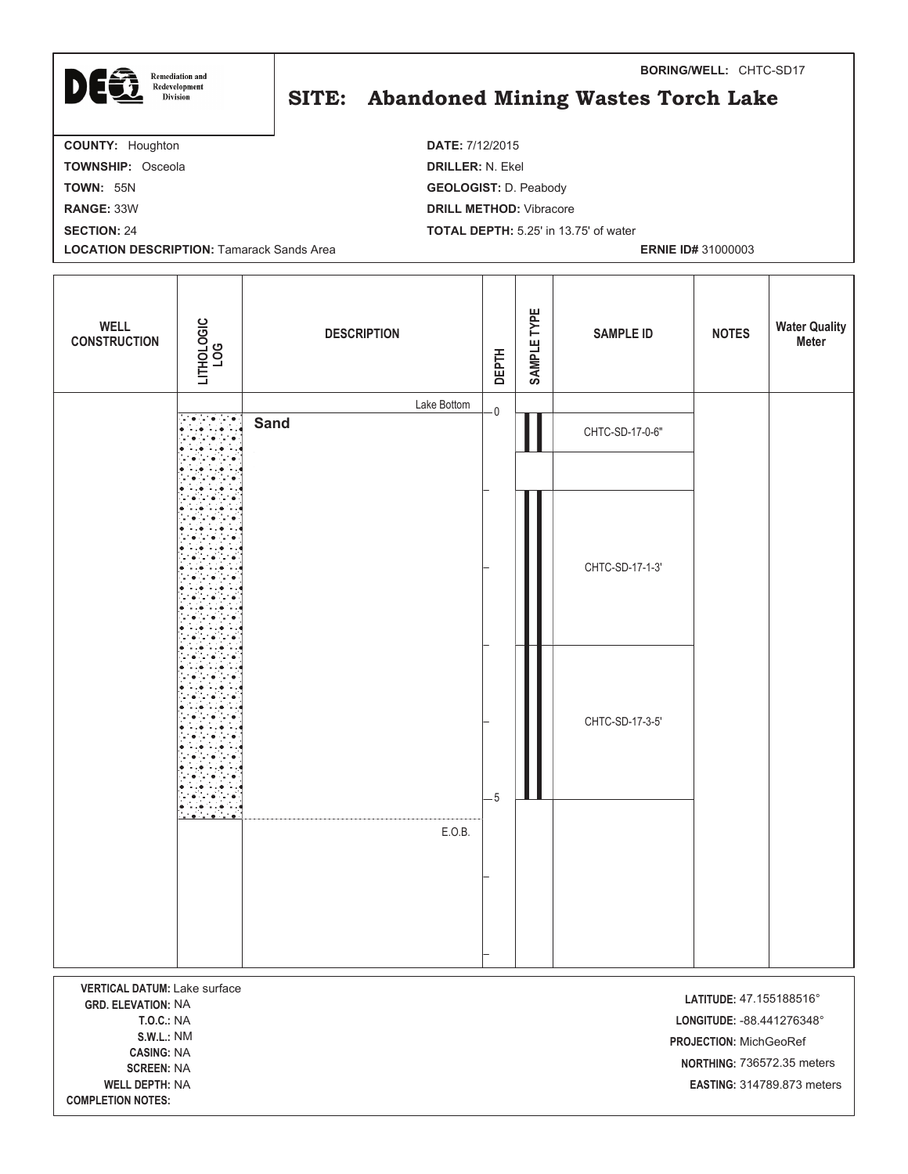| E6<br><b>Remediation and</b><br>D<br>Redevelopment<br><b>Division</b> | <b>BORING/WELL: CHTC-SD17</b><br>SITE: Abandoned Mining Wastes Torch Lake |
|-----------------------------------------------------------------------|---------------------------------------------------------------------------|
| <b>COUNTY: Houghton</b>                                               | <b>DATE: 7/12/2015</b>                                                    |
| <b>TOWNSHIP: Osceola</b>                                              | <b>DRILLER: N. Ekel</b>                                                   |
| <b>TOWN: 55N</b>                                                      | <b>GEOLOGIST: D. Peabody</b>                                              |
| <b>RANGE: 33W</b>                                                     | <b>DRILL METHOD:</b> Vibracore                                            |
| <b>SECTION: 24</b>                                                    | <b>TOTAL DEPTH:</b> 5.25' in 13.75' of water                              |
| <b>LOCATION DESCRIPTION: Tamarack Sands Area</b>                      | <b>ERNIE ID# 31000003</b>                                                 |
|                                                                       |                                                                           |

| <b>WELL</b><br><b>CONSTRUCTION</b>                                             | LITHOLOGIC<br>LOG | <b>DESCRIPTION</b> |             | <b>DEPTH</b> | SAMPLE TYPE | <b>SAMPLE ID</b> | <b>NOTES</b>                                          | <b>Water Quality<br/>Meter</b> |
|--------------------------------------------------------------------------------|-------------------|--------------------|-------------|--------------|-------------|------------------|-------------------------------------------------------|--------------------------------|
|                                                                                |                   |                    | Lake Bottom | $\mathbf 0$  |             |                  |                                                       |                                |
|                                                                                |                   | <b>Sand</b>        |             |              |             | CHTC-SD-17-0-6"  |                                                       |                                |
|                                                                                |                   |                    |             |              |             |                  |                                                       |                                |
|                                                                                |                   |                    |             |              |             |                  |                                                       |                                |
|                                                                                |                   |                    |             |              |             | CHTC-SD-17-1-3'  |                                                       |                                |
|                                                                                |                   |                    |             |              |             |                  |                                                       |                                |
|                                                                                |                   |                    |             |              |             |                  |                                                       |                                |
|                                                                                |                   |                    |             |              |             | CHTC-SD-17-3-5'  |                                                       |                                |
|                                                                                |                   |                    |             | $-5$         |             |                  |                                                       |                                |
|                                                                                |                   |                    | E.O.B.      |              |             |                  |                                                       |                                |
|                                                                                |                   |                    |             |              |             |                  |                                                       |                                |
|                                                                                |                   |                    |             |              |             |                  |                                                       |                                |
| VERTICAL DATUM: Lake surface<br><b>GRD. ELEVATION: NA</b><br><b>T.O.C.: NA</b> |                   |                    |             |              |             |                  | LATITUDE: 47.155188516°<br>LONGITUDE: - 88.441276348° |                                |
| <b>S.W.L.: NM</b><br><b>CASING: NA</b><br><b>CODEEN, NIA</b>                   |                   |                    |             |              |             |                  | PROJECTION: MichGeoRef<br>NORTHING: 736572.35 meters  |                                |

**- -**

**COMPLETION NOTES:** 

**PTH:** NA **-EASTING: 314789.873 meters** 

**BORING/WELL:** CHTC-SD17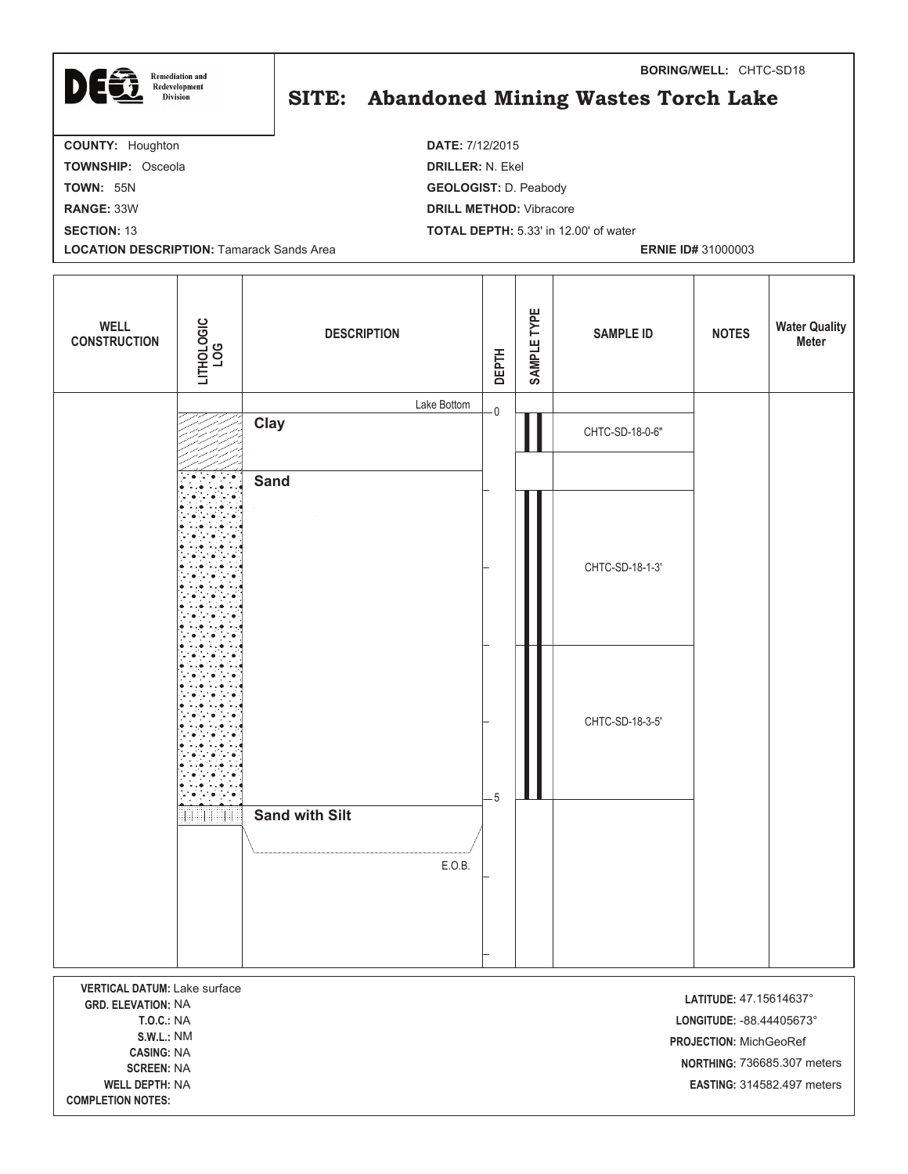| <b>Remediation and</b>                           | <b>BORING/WELL: CHTC-SD18</b>                |  |  |  |  |  |
|--------------------------------------------------|----------------------------------------------|--|--|--|--|--|
| DEG<br>Redevelopment<br><b>Division</b>          | SITE: Abandoned Mining Wastes Torch Lake     |  |  |  |  |  |
| <b>COUNTY: Houghton</b>                          | <b>DATE: 7/12/2015</b>                       |  |  |  |  |  |
| <b>TOWNSHIP: Osceola</b>                         | <b>DRILLER: N. Ekel</b>                      |  |  |  |  |  |
| <b>TOWN: 55N</b>                                 | <b>GEOLOGIST: D. Peabody</b>                 |  |  |  |  |  |
| <b>RANGE: 33W</b>                                | <b>DRILL METHOD:</b> Vibracore               |  |  |  |  |  |
| <b>SECTION: 13</b>                               | <b>TOTAL DEPTH: 5.33' in 12.00' of water</b> |  |  |  |  |  |
| <b>LOCATION DESCRIPTION: Tamarack Sands Area</b> | <b>ERNIE ID# 31000003</b>                    |  |  |  |  |  |
|                                                  |                                              |  |  |  |  |  |

| <b>WELL</b><br><b>CONSTRUCTION</b>             | LITHOLOGIC<br>LOG | <b>DESCRIPTION</b>    | <b>DEPTH</b>            | SAMPLE TYPE | <b>SAMPLE ID</b> | <b>NOTES</b>              | <b>Water Quality</b><br>Meter |
|------------------------------------------------|-------------------|-----------------------|-------------------------|-------------|------------------|---------------------------|-------------------------------|
|                                                |                   | Lake Bottom           | $\overline{\mathbf{0}}$ |             |                  |                           |                               |
|                                                |                   | Clay                  |                         |             | CHTC-SD-18-0-6"  |                           |                               |
|                                                |                   |                       |                         |             |                  |                           |                               |
|                                                |                   | <b>Sand</b>           |                         |             |                  |                           |                               |
|                                                |                   |                       |                         |             |                  |                           |                               |
|                                                |                   |                       |                         |             |                  |                           |                               |
|                                                |                   |                       |                         |             | CHTC-SD-18-1-3'  |                           |                               |
|                                                |                   |                       |                         |             |                  |                           |                               |
|                                                |                   |                       |                         |             |                  |                           |                               |
|                                                |                   |                       |                         |             |                  |                           |                               |
|                                                |                   |                       |                         |             |                  |                           |                               |
|                                                |                   |                       |                         |             | CHTC-SD-18-3-5'  |                           |                               |
|                                                |                   |                       |                         |             |                  |                           |                               |
|                                                |                   |                       |                         |             |                  |                           |                               |
|                                                |                   | <b>Sand with Silt</b> | $-5$                    |             |                  |                           |                               |
|                                                |                   |                       |                         |             |                  |                           |                               |
|                                                |                   | E.O.B.                |                         |             |                  |                           |                               |
|                                                |                   |                       |                         |             |                  |                           |                               |
|                                                |                   |                       |                         |             |                  |                           |                               |
|                                                |                   |                       |                         |             |                  |                           |                               |
| VERTICAL DATUM: Lake surface                   |                   |                       |                         |             |                  | LATITUDE: 47.15614637°    |                               |
| <b>GRD. ELEVATION: NA</b><br><b>T.O.C.: NA</b> |                   |                       |                         |             |                  | LONGITUDE: - 88.44405673° |                               |

CASING: NA

**- -**

**COMPLETION NOTES:** 

**EN:** NA

-F

**-**  -88.44405673°  NM **-PROJECTION: MichGeoRef**  736685.307 meters **-PTH:** NA **-EASTING: 314582.497 meters**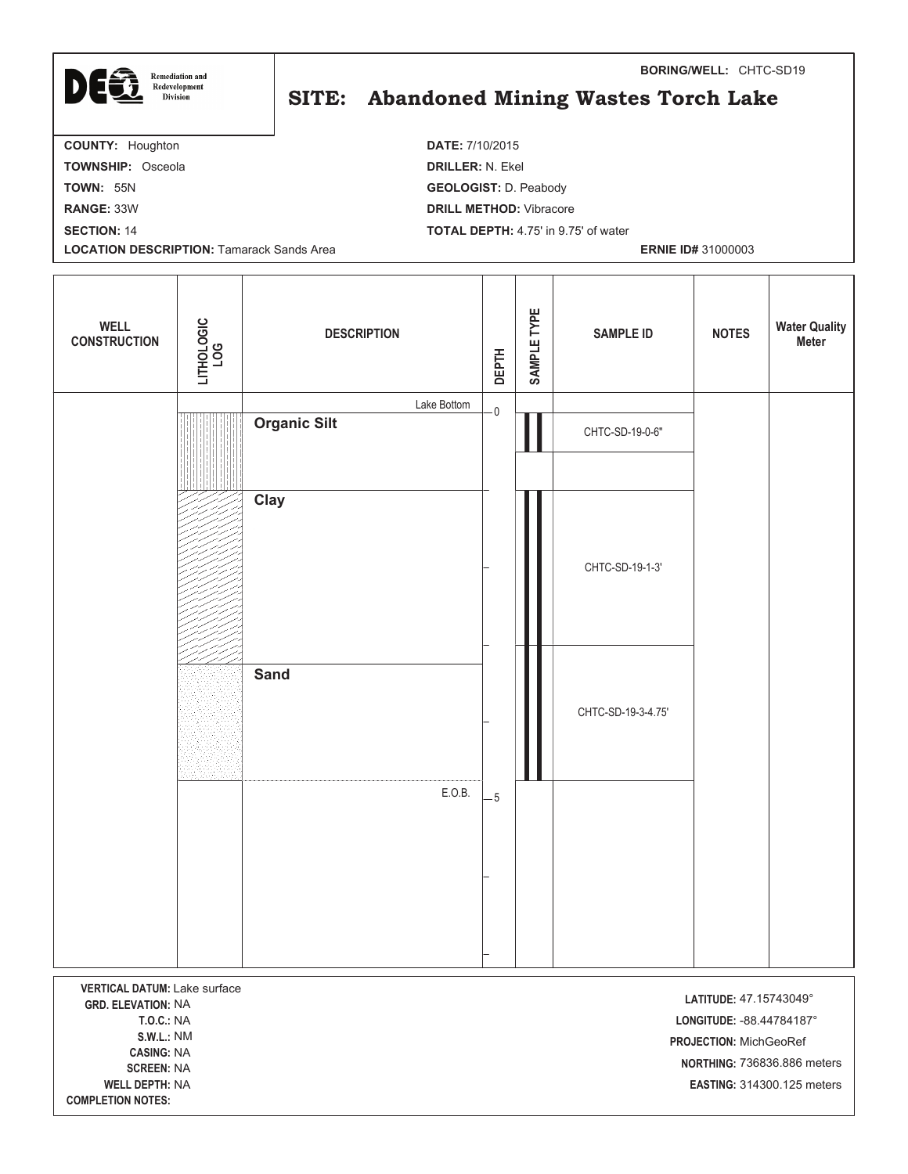| <b>Remediation and</b><br>Redevelopment<br><b>Division</b>                    |  | <b>BORING/WELL: CHTC-SD19</b><br>SITE: Abandoned Mining Wastes Torch Lake |
|-------------------------------------------------------------------------------|--|---------------------------------------------------------------------------|
| <b>COUNTY: Houghton</b>                                                       |  | <b>DATE: 7/10/2015</b>                                                    |
| <b>TOWNSHIP: Osceola</b>                                                      |  | <b>DRILLER: N. Ekel</b>                                                   |
| <b>TOWN: 55N</b>                                                              |  | <b>GEOLOGIST: D. Peabody</b>                                              |
| <b>RANGE: 33W</b>                                                             |  | <b>DRILL METHOD:</b> Vibracore                                            |
| <b>SECTION: 14</b>                                                            |  | <b>TOTAL DEPTH:</b> 4.75' in 9.75' of water                               |
| <b>LOCATION DESCRIPTION: Tamarack Sands Area</b><br><b>ERNIE ID# 31000003</b> |  |                                                                           |
|                                                                               |  |                                                                           |

| <b>WELL</b><br><b>CONSTRUCTION</b>     | LITHOLOGIC<br>LOG                                             | <b>DESCRIPTION</b>                 | <b>DEPTH</b>            | SAMPLE TYPE | <b>SAMPLE ID</b>   | <b>NOTES</b>                                        | <b>Water Quality</b><br><b>Meter</b> |
|----------------------------------------|---------------------------------------------------------------|------------------------------------|-------------------------|-------------|--------------------|-----------------------------------------------------|--------------------------------------|
|                                        |                                                               | Lake Bottom<br><b>Organic Silt</b> | $\overline{\mathbf{0}}$ |             | CHTC-SD-19-0-6"    |                                                     |                                      |
|                                        |                                                               |                                    |                         |             |                    |                                                     |                                      |
|                                        |                                                               | Clay                               |                         |             |                    |                                                     |                                      |
|                                        |                                                               |                                    |                         |             |                    |                                                     |                                      |
|                                        |                                                               |                                    |                         |             | CHTC-SD-19-1-3'    |                                                     |                                      |
|                                        |                                                               |                                    |                         |             |                    |                                                     |                                      |
|                                        |                                                               | <b>Sand</b>                        |                         |             |                    |                                                     |                                      |
|                                        |                                                               |                                    |                         |             | CHTC-SD-19-3-4.75' |                                                     |                                      |
|                                        |                                                               |                                    |                         |             |                    |                                                     |                                      |
|                                        |                                                               | E.O.B.                             | $-5$                    |             |                    |                                                     |                                      |
|                                        |                                                               |                                    |                         |             |                    |                                                     |                                      |
|                                        |                                                               |                                    |                         |             |                    |                                                     |                                      |
|                                        |                                                               |                                    |                         |             |                    |                                                     |                                      |
| <b>GRD. ELEVATION: NA</b>              | <b>VERTICAL DATUM: Lake surface</b><br>LATITUDE: 47.15743049° |                                    |                         |             |                    |                                                     |                                      |
| <b>T.O.C.: NA</b><br>S.W.L.:<br>NM     |                                                               |                                    |                         |             |                    | LONGITUDE: - 88.44784187°<br>PROJECTION: MichGeoRef |                                      |
| <b>CASING: NA</b><br><b>SCREEN: NA</b> |                                                               |                                    |                         |             |                    |                                                     | NORTHING: 736836.886 meters          |

**- -PTH:** NA **-**

COMPLETION NOTES:

 314300.125 meters